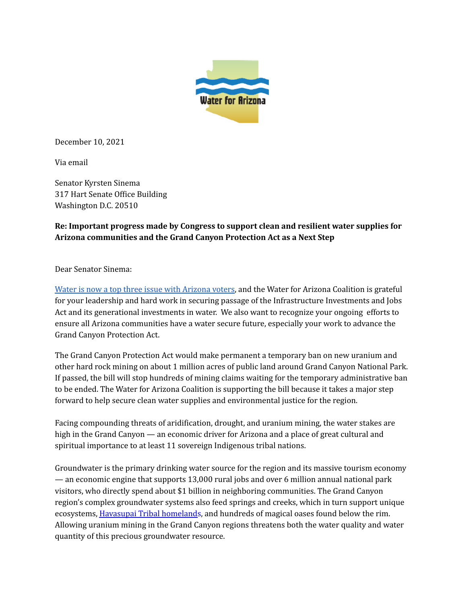

December 10, 2021

Via email

Senator Kyrsten Sinema 317 Hart Senate Office Building Washington D.C. 20510

## **Re: Important progress made by Congress to support clean and resilient water supplies for Arizona communities and the Grand Canyon Protection Act as a Next Step**

## Dear Senator Sinema:

Water is now a top three issue with [Arizona](https://d5cce0e3-1537-4217-a269-a7203d7b4cd3.filesusr.com/ugd/9ef7a5_ebe6e6b0e89845a8bf879f50c1b90a6b.pdf) voters, and the Water for Arizona Coalition is grateful for your leadership and hard work in securing passage of the Infrastructure Investments and Jobs Act and its generational investments in water. We also want to recognize your ongoing efforts to ensure all Arizona communities have a water secure future, especially your work to advance the Grand Canyon Protection Act.

The Grand Canyon Protection Act would make permanent a temporary ban on new uranium and other hard rock mining on about 1 million acres of public land around Grand Canyon National Park. If passed, the bill will stop hundreds of mining claims waiting for the temporary administrative ban to be ended. The Water for Arizona Coalition is supporting the bill because it takes a major step forward to help secure clean water supplies and environmental justice for the region.

Facing compounding threats of aridification, drought, and uranium mining, the water stakes are high in the Grand Canyon — an economic driver for Arizona and a place of great cultural and spiritual importance to at least 11 sovereign Indigenous tribal nations.

Groundwater is the primary drinking water source for the region and its massive tourism economy — an economic engine that supports 13,000 rural jobs and over 6 million annual national park visitors, who directly spend about \$1 billion in neighboring communities. The Grand Canyon region's complex groundwater systems also feed springs and creeks, which in turn support unique ecosystems, [Havasupai](https://www.newsweek.com/congress-must-act-save-havasupai-tribe-extinction-opinion-1654939) Tribal homelands, and hundreds of magical oases found below the rim. Allowing uranium mining in the Grand Canyon regions threatens both the water quality and water quantity of this precious groundwater resource.